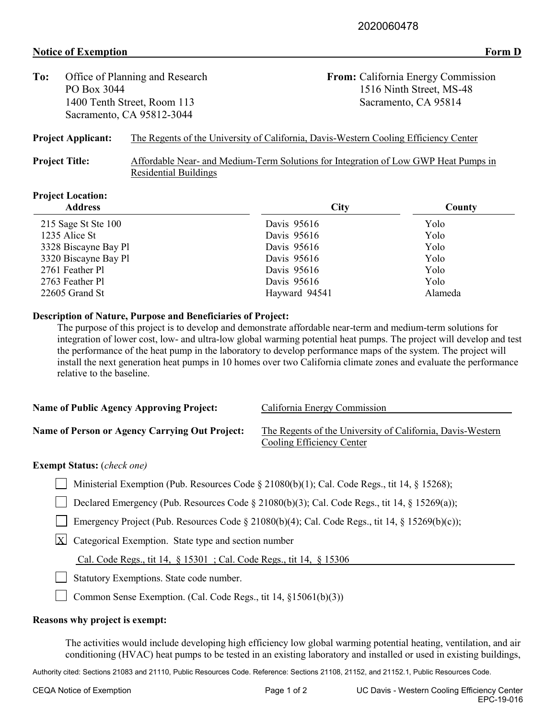## **Notice of Exemption Form D**

| Office of Planning and Research<br>To: |                                                                                      | From: California Energy Commission                                                  |  |
|----------------------------------------|--------------------------------------------------------------------------------------|-------------------------------------------------------------------------------------|--|
| PO Box 3044                            |                                                                                      | 1516 Ninth Street, MS-48                                                            |  |
| 1400 Tenth Street, Room 113            |                                                                                      | Sacramento, CA 95814                                                                |  |
|                                        | Sacramento, CA 95812-3044                                                            |                                                                                     |  |
| <b>Project Applicant:</b>              | The Regents of the University of California, Davis-Western Cooling Efficiency Center |                                                                                     |  |
| <b>Project Title:</b>                  |                                                                                      | Affordable Near- and Medium-Term Solutions for Integration of Low GWP Heat Pumps in |  |
|                                        | <b>Residential Buildings</b>                                                         |                                                                                     |  |

# **Project Location:**

| <b>Address</b>       | City          | County  |  |
|----------------------|---------------|---------|--|
| 215 Sage St Ste 100  | Davis 95616   | Yolo    |  |
| 1235 Alice St        | Davis 95616   | Yolo    |  |
| 3328 Biscayne Bay Pl | Davis 95616   | Yolo    |  |
| 3320 Biscayne Bay Pl | Davis 95616   | Yolo    |  |
| 2761 Feather Pl      | Davis 95616   | Yolo    |  |
| 2763 Feather Pl      | Davis 95616   | Yolo    |  |
| 22605 Grand St       | Hayward 94541 | Alameda |  |

#### **Description of Nature, Purpose and Beneficiaries of Project:**

The purpose of this project is to develop and demonstrate affordable near-term and medium-term solutions for integration of lower cost, low- and ultra-low global warming potential heat pumps. The project will develop and test the performance of the heat pump in the laboratory to develop performance maps of the system. The project will install the next generation heat pumps in 10 homes over two California climate zones and evaluate the performance relative to the baseline.

| <b>Name of Public Agency Approving Project:</b>       | California Energy Commission                               |
|-------------------------------------------------------|------------------------------------------------------------|
|                                                       |                                                            |
| <b>Name of Person or Agency Carrying Out Project:</b> | The Regents of the University of California, Davis-Western |
|                                                       | Cooling Efficiency Center                                  |

### **Exempt Status:** (*check one)*

Ministerial Exemption (Pub. Resources Code § 21080(b)(1); Cal. Code Regs., tit 14, § 15268);

Declared Emergency (Pub. Resources Code  $\S 21080(b)(3)$ ; Cal. Code Regs., tit 14,  $\S 15269(a)$ );

Emergency Project (Pub. Resources Code  $\S 21080(b)(4)$ ; Cal. Code Regs., tit 14,  $\S 15269(b)(c)$ );

 $X$  Categorical Exemption. State type and section number

Cal. Code Regs., tit 14, § 15301 ; Cal. Code Regs., tit 14, § 15306

Statutory Exemptions. State code number.

Common Sense Exemption. (Cal. Code Regs., tit 14, §15061(b)(3))

#### **Reasons why project is exempt:**

The activities would include developing high efficiency low global warming potential heating, ventilation, and air conditioning (HVAC) heat pumps to be tested in an existing laboratory and installed or used in existing buildings,

Authority cited: Sections 21083 and 21110, Public Resources Code. Reference: Sections 21108, 21152, and 21152.1, Public Resources Code.